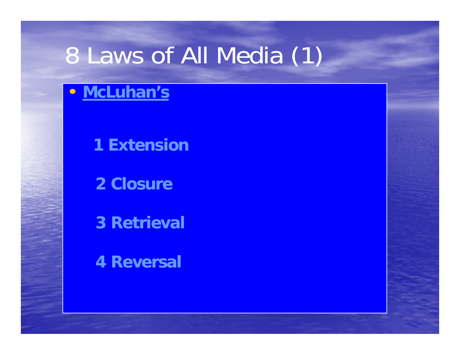#### 8 Laws of All Media (1)

#### • **McLuhan's**

**1 Extension**

**2 Closure**

**3 Retrieval**

**4 Reversal**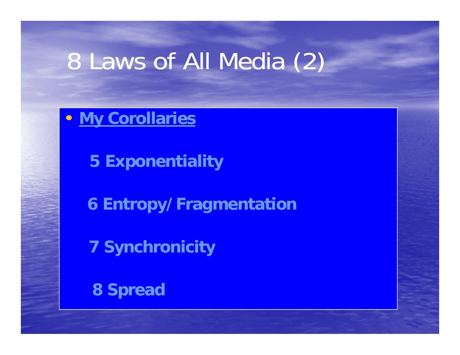## 8 Laws of All Media (2)

• **My Corollaries**

**5 Exponentiality** 

**6 Entropy/Fragmentation** 

**7 Synchronicity**

**8 Spread**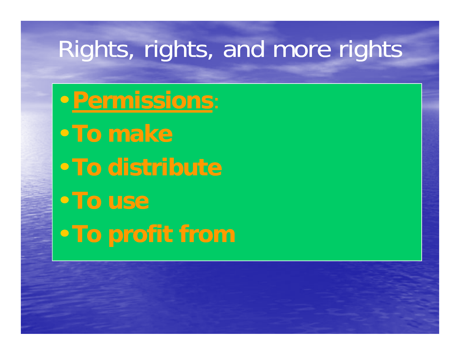### Rights, rights, and more rights

•**Permissions**: •**To make**•**To distribute**•**To use**•**To profit from**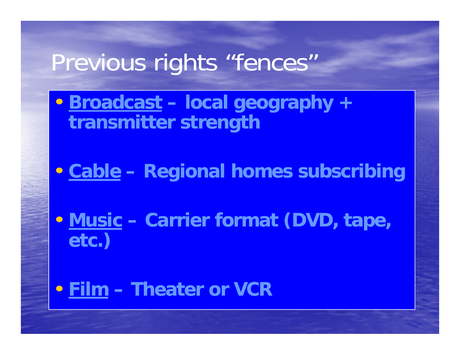#### Previous rights "fences "

- **Broadcast – local g g py eo gra p h y + transmitter strength**
- **Cable Regional homes subscribing**
- **Music Carrier format (DVD, tape, etc.)**
- **Film – Theater or VCR or**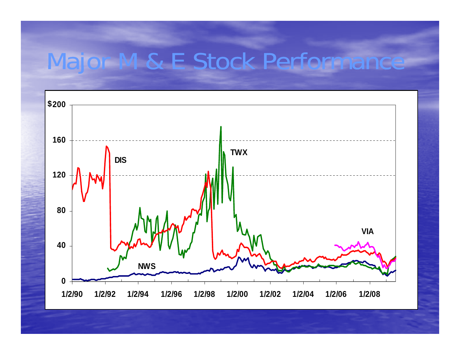#### Major M & E Stock Performance M & E Stock Performance

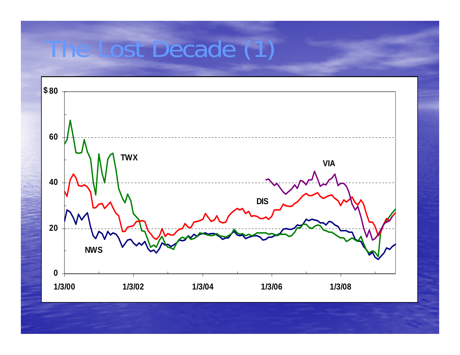## he Lost Decade (1)

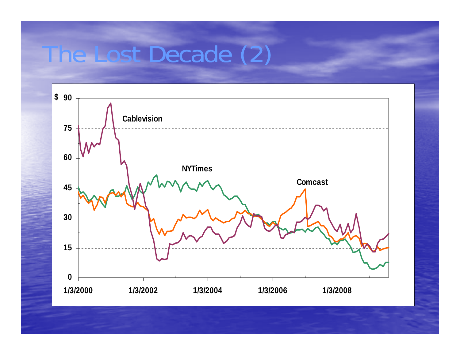### The Lost Decade (2)

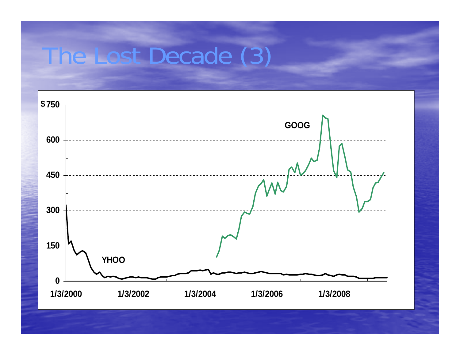#### Ine Lost Decade (3)

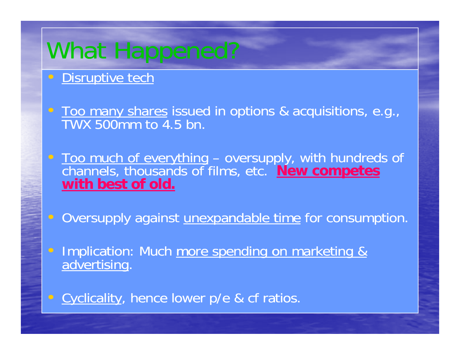# What Happened?

#### $\epsilon$ Disruptive tech

•• Too many shares issued in options & acquisitions, e.g., TWX 500mm to 4.5 bn.

•**Too much of everything** – oversupply, with hundreds of channels, thousands of films, etc. **New competes with best of old.**

 $\subset$ Oversupply against unexpandable time for consumption.

•Implication: Much more spending on marketing & advertising.

• Cyclicality, hence lower p/e & cf ratios.